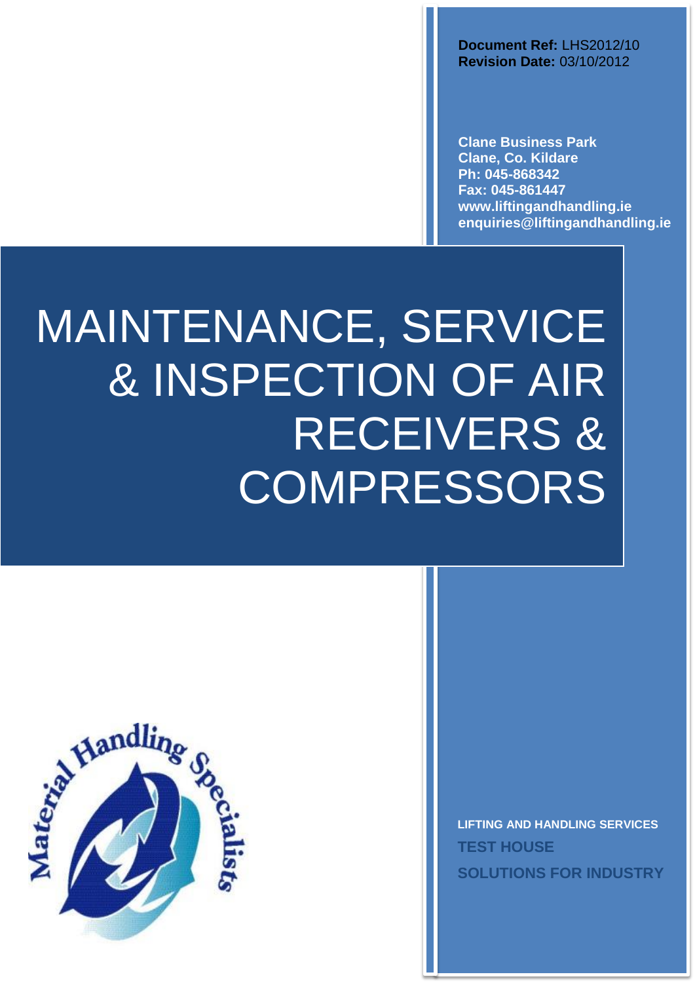**Document Ref:** LHS2012/10 **Revision Date:** 03/10/2012

**Clane Business Park Clane, Co. Kildare Ph: 045-868342 Fax: 045-861447 www.liftingandhandling.ie [enquiries@liftingandhandling.ie](mailto:enquiries@liftingandhandling.ie)**

# MAINTENANCE, SERVICE & INSPECTION OF AIR RECEIVERS & **COMPRESSORS**



**LIFTING AND HANDLING SERVICES TEST HOUSE SOLUTIONS FOR INDUSTRY**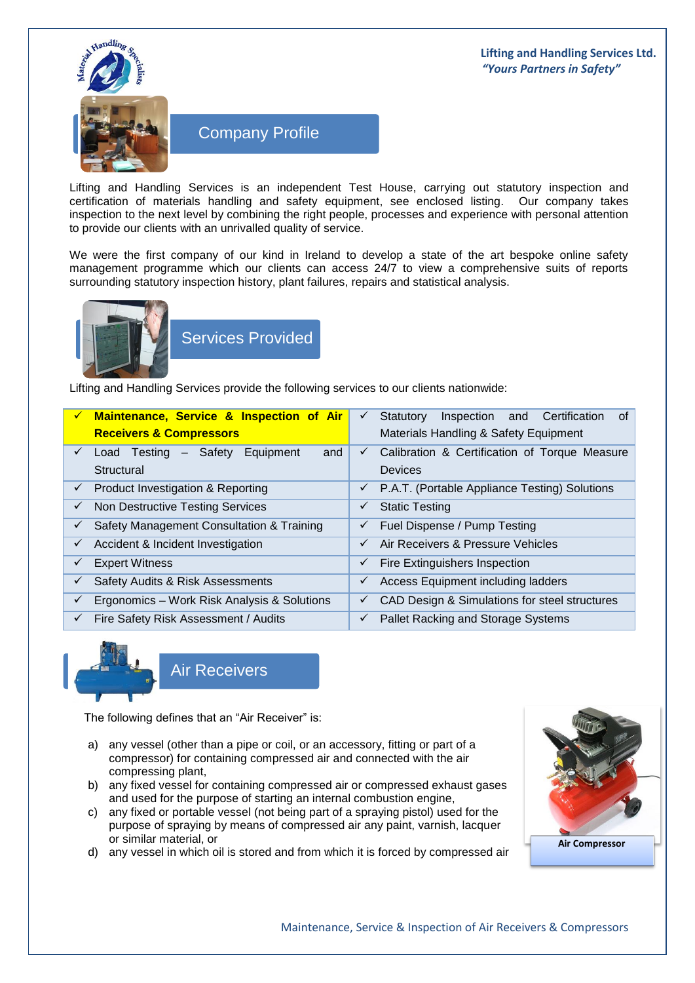### **Lifting and Handling Services Ltd.** *"Yours Partners in Safety"*



# Company Profile

Lifting and Handling Services is an independent Test House, carrying out statutory inspection and certification of materials handling and safety equipment, see enclosed listing. Our company takes inspection to the next level by combining the right people, processes and experience with personal attention to provide our clients with an unrivalled quality of service.

We were the first company of our kind in Ireland to develop a state of the art bespoke online safety management programme which our clients can access 24/7 to view a comprehensive suits of reports surrounding statutory inspection history, plant failures, repairs and statistical analysis.



Services Provided

Lifting and Handling Services provide the following services to our clients nationwide:

| $\checkmark$ | Maintenance, Service & Inspection of Air<br><b>Receivers &amp; Compressors</b> | of<br>Inspection and Certification<br>Statutory<br>$\checkmark$<br>Materials Handling & Safety Equipment |
|--------------|--------------------------------------------------------------------------------|----------------------------------------------------------------------------------------------------------|
| $\checkmark$ | Load Testing - Safety Equipment<br>and<br>Structural                           | Calibration & Certification of Torque Measure<br>$\checkmark$<br><b>Devices</b>                          |
| $\checkmark$ | Product Investigation & Reporting                                              | P.A.T. (Portable Appliance Testing) Solutions<br>$\checkmark$                                            |
| $\checkmark$ | Non Destructive Testing Services                                               | <b>Static Testing</b>                                                                                    |
| $\checkmark$ | Safety Management Consultation & Training                                      | Fuel Dispense / Pump Testing<br>✓                                                                        |
| $\checkmark$ | Accident & Incident Investigation                                              | Air Receivers & Pressure Vehicles                                                                        |
| $\checkmark$ | <b>Expert Witness</b>                                                          | <b>Fire Extinguishers Inspection</b><br>✓                                                                |
| $\checkmark$ | Safety Audits & Risk Assessments                                               | Access Equipment including ladders<br>✓                                                                  |
| $\checkmark$ | Ergonomics - Work Risk Analysis & Solutions                                    | CAD Design & Simulations for steel structures<br>✓                                                       |
| $\checkmark$ | Fire Safety Risk Assessment / Audits                                           | Pallet Racking and Storage Systems                                                                       |



The following defines that an "Air Receiver" is:

- a) any vessel (other than a pipe or coil, or an accessory, fitting or part of a compressor) for containing compressed air and connected with the air compressing plant,
- b) any fixed vessel for containing compressed air or compressed exhaust gases and used for the purpose of starting an internal combustion engine,
- c) any fixed or portable vessel (not being part of a spraying pistol) used for the purpose of spraying by means of compressed air any paint, varnish, lacquer or similar material, or
- d) any vessel in which oil is stored and from which it is forced by compressed air

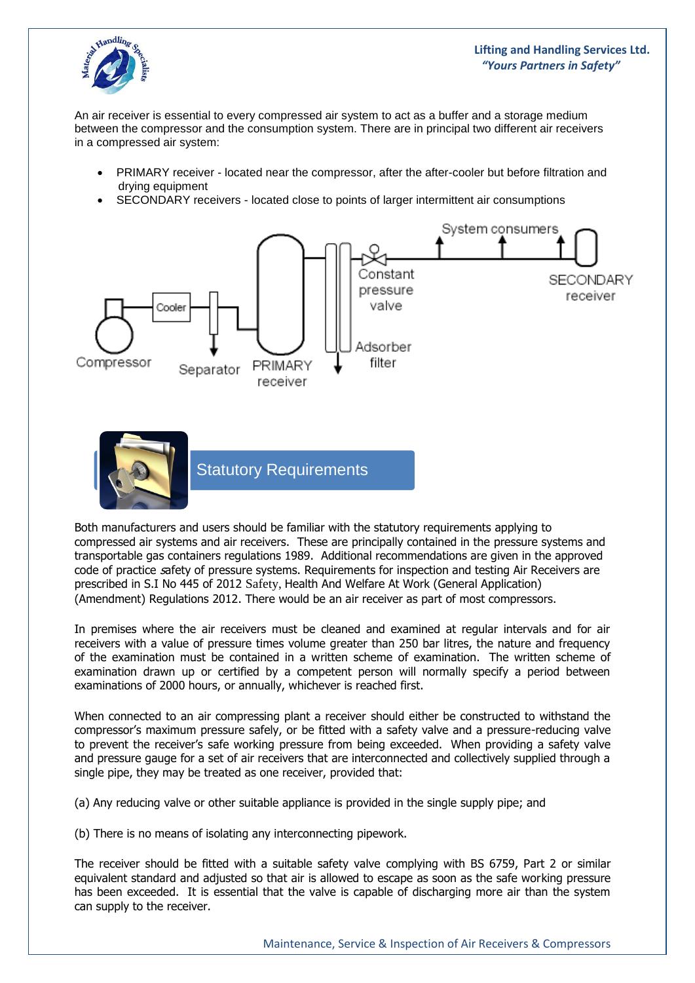

## **Lifting and Handling Services Ltd.** *"Yours Partners in Safety"*

An air receiver is essential to every compressed air system to act as a buffer and a storage medium between the compressor and the consumption system. There are in principal two different air receivers in a compressed air system:

- PRIMARY receiver located near the compressor, after the after-cooler but before filtration and drying equipment
- SECONDARY receivers located close to points of larger intermittent air consumptions



Both manufacturers and users should be familiar with the statutory requirements applying to compressed air systems and air receivers. These are principally contained in the pressure systems and transportable gas containers regulations 1989. Additional recommendations are given in the approved code of practice <sup>s</sup>afety of pressure systems. Requirements for inspection and testing Air Receivers are prescribed in S.I No 445 of 2012 Safety, Health And Welfare At Work (General Application) (Amendment) Regulations 2012. There would be an air receiver as part of most compressors.

In premises where the air receivers must be cleaned and examined at regular intervals and for air receivers with a value of pressure times volume greater than 250 bar litres, the nature and frequency of the examination must be contained in a written scheme of examination. The written scheme of examination drawn up or certified by a competent person will normally specify a period between examinations of 2000 hours, or annually, whichever is reached first.

When connected to an air compressing plant a receiver should either be constructed to withstand the compressor's maximum pressure safely, or be fitted with a safety valve and a pressure-reducing valve to prevent the receiver's safe working pressure from being exceeded. When providing a safety valve and pressure gauge for a set of air receivers that are interconnected and collectively supplied through a single pipe, they may be treated as one receiver, provided that:

(a) Any reducing valve or other suitable appliance is provided in the single supply pipe; and

(b) There is no means of isolating any interconnecting pipework.

The receiver should be fitted with a suitable safety valve complying with BS 6759, Part 2 or similar equivalent standard and adjusted so that air is allowed to escape as soon as the safe working pressure has been exceeded. It is essential that the valve is capable of discharging more air than the system can supply to the receiver.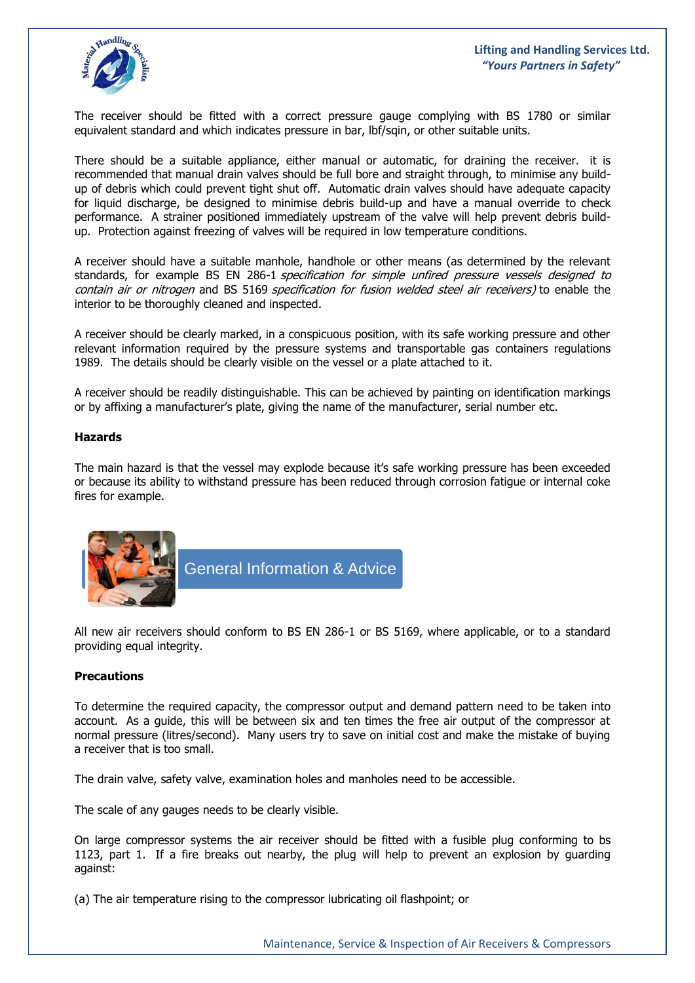

The receiver should be fitted with a correct pressure gauge complying with BS 1780 or similar equivalent standard and which indicates pressure in bar, lbf/sqin, or other suitable units.

There should be a suitable appliance, either manual or automatic, for draining the receiver. it is recommended that manual drain valves should be full bore and straight through, to minimise any buildup of debris which could prevent tight shut off. Automatic drain valves should have adequate capacity for liquid discharge, be designed to minimise debris build-up and have a manual override to check performance. A strainer positioned immediately upstream of the valve will help prevent debris buildup. Protection against freezing of valves will be required in low temperature conditions.

A receiver should have a suitable manhole, handhole or other means (as determined by the relevant standards, for example BS EN 286-1 specification for simple unfired pressure vessels designed to contain air or nitrogen and BS 5169 specification for fusion welded steel air receivers) to enable the interior to be thoroughly cleaned and inspected.

A receiver should be clearly marked, in a conspicuous position, with its safe working pressure and other relevant information required by the pressure systems and transportable gas containers regulations 1989. The details should be clearly visible on the vessel or a plate attached to it.

A receiver should be readily distinguishable. This can be achieved by painting on identification markings or by affixing a manufacturer's plate, giving the name of the manufacturer, serial number etc.

#### **Hazards**

The main hazard is that the vessel may explode because it's safe working pressure has been exceeded or because its ability to withstand pressure has been reduced through corrosion fatigue or internal coke fires for example.



General Information & Advice

All new air receivers should conform to BS EN 286-1 or BS 5169, where applicable, or to a standard providing equal integrity.

#### **Precautions**

To determine the required capacity, the compressor output and demand pattern need to be taken into account. As a guide, this will be between six and ten times the free air output of the compressor at normal pressure (litres/second). Many users try to save on initial cost and make the mistake of buying a receiver that is too small.

The drain valve, safety valve, examination holes and manholes need to be accessible.

The scale of any gauges needs to be clearly visible.

On large compressor systems the air receiver should be fitted with a fusible plug conforming to bs 1123, part 1. If a fire breaks out nearby, the plug will help to prevent an explosion by guarding against:

(a) The air temperature rising to the compressor lubricating oil flashpoint; or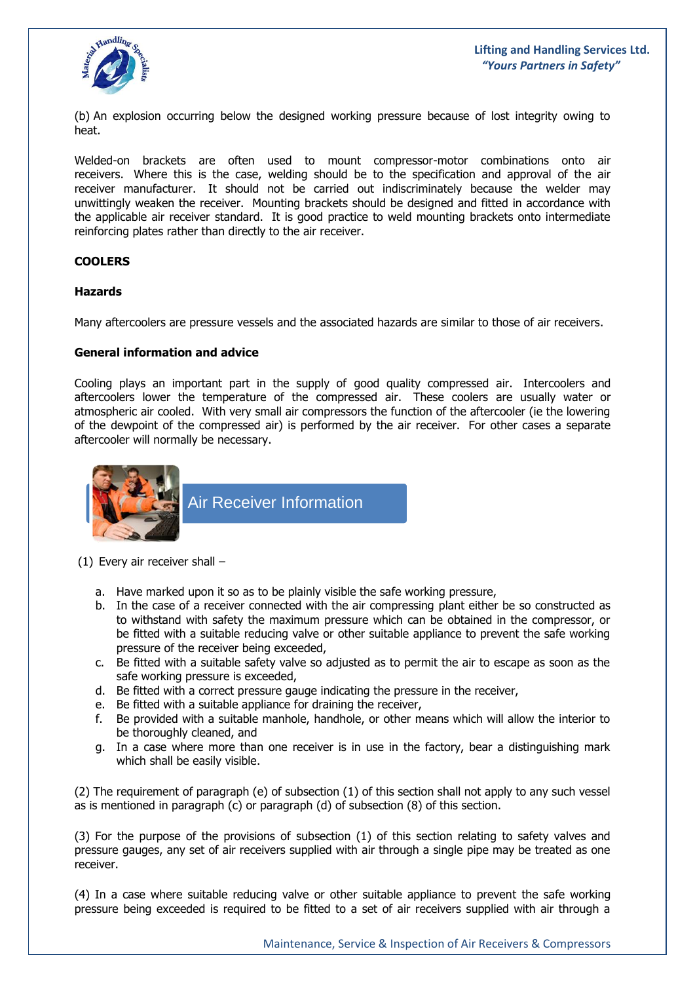

(b) An explosion occurring below the designed working pressure because of lost integrity owing to heat.

Welded-on brackets are often used to mount compressor-motor combinations onto air receivers. Where this is the case, welding should be to the specification and approval of the air receiver manufacturer. It should not be carried out indiscriminately because the welder may unwittingly weaken the receiver. Mounting brackets should be designed and fitted in accordance with the applicable air receiver standard. It is good practice to weld mounting brackets onto intermediate reinforcing plates rather than directly to the air receiver.

#### **COOLERS**

#### **Hazards**

Many aftercoolers are pressure vessels and the associated hazards are similar to those of air receivers.

#### **General information and advice**

Cooling plays an important part in the supply of good quality compressed air. Intercoolers and aftercoolers lower the temperature of the compressed air. These coolers are usually water or atmospheric air cooled. With very small air compressors the function of the aftercooler (ie the lowering of the dewpoint of the compressed air) is performed by the air receiver. For other cases a separate aftercooler will normally be necessary.



Air Receiver Information

(1) Every air receiver shall –

- a. Have marked upon it so as to be plainly visible the safe working pressure,
- b. In the case of a receiver connected with the air compressing plant either be so constructed as to withstand with safety the maximum pressure which can be obtained in the compressor, or be fitted with a suitable reducing valve or other suitable appliance to prevent the safe working pressure of the receiver being exceeded,
- c. Be fitted with a suitable safety valve so adjusted as to permit the air to escape as soon as the safe working pressure is exceeded,
- d. Be fitted with a correct pressure gauge indicating the pressure in the receiver,
- e. Be fitted with a suitable appliance for draining the receiver,
- f. Be provided with a suitable manhole, handhole, or other means which will allow the interior to be thoroughly cleaned, and
- g. In a case where more than one receiver is in use in the factory, bear a distinguishing mark which shall be easily visible.

(2) The requirement of paragraph (e) of subsection (1) of this section shall not apply to any such vessel as is mentioned in paragraph (c) or paragraph (d) of subsection (8) of this section.

(3) For the purpose of the provisions of subsection (1) of this section relating to safety valves and pressure gauges, any set of air receivers supplied with air through a single pipe may be treated as one receiver.

(4) In a case where suitable reducing valve or other suitable appliance to prevent the safe working pressure being exceeded is required to be fitted to a set of air receivers supplied with air through a